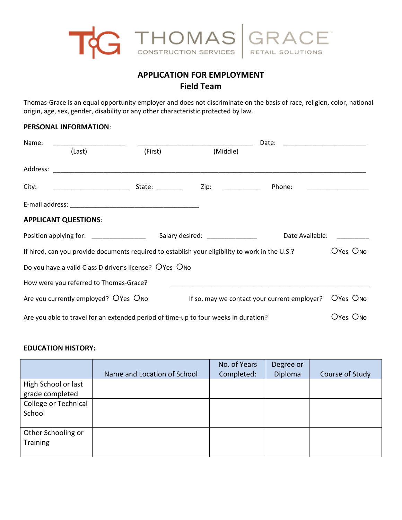

# **APPLICATION FOR EMPLOYMENT Field Team**

Thomas-Grace is an equal opportunity employer and does not discriminate on the basis of race, religion, color, national origin, age, sex, gender, disability or any other characteristic protected by law.

## **PERSONAL INFORMATION**:

| Name: |                                                                                                                       |                                                                                                 | Date:                                                                                                          |                                              |          |  |  |  |
|-------|-----------------------------------------------------------------------------------------------------------------------|-------------------------------------------------------------------------------------------------|----------------------------------------------------------------------------------------------------------------|----------------------------------------------|----------|--|--|--|
|       | (Last)                                                                                                                | (First)                                                                                         | (Middle)                                                                                                       |                                              |          |  |  |  |
|       |                                                                                                                       |                                                                                                 |                                                                                                                |                                              |          |  |  |  |
| City: | <u> 1989 - Jan James James James James James James James James James James James James James James James James Ja</u> | State: $\frac{1}{\sqrt{1-\frac{1}{2}}\sqrt{1-\frac{1}{2}}\left(\frac{1}{2}-\frac{1}{2}\right)}$ | Zip:                                                                                                           | Phone:                                       |          |  |  |  |
|       |                                                                                                                       |                                                                                                 |                                                                                                                |                                              |          |  |  |  |
|       | <b>APPLICANT QUESTIONS:</b>                                                                                           |                                                                                                 |                                                                                                                |                                              |          |  |  |  |
|       | Position applying for: <u>contract the position</u>                                                                   |                                                                                                 | Salary desired: The sale of the same of the same of the same of the same of the same of the same of the same o | Date Available:                              |          |  |  |  |
|       |                                                                                                                       |                                                                                                 | If hired, can you provide documents required to establish your eligibility to work in the U.S.?                |                                              | Oyes Ono |  |  |  |
|       | Do you have a valid Class D driver's license? OYes ONo                                                                |                                                                                                 |                                                                                                                |                                              |          |  |  |  |
|       | How were you referred to Thomas-Grace?                                                                                |                                                                                                 |                                                                                                                |                                              |          |  |  |  |
|       | Are you currently employed? OYes ONo                                                                                  |                                                                                                 |                                                                                                                | If so, may we contact your current employer? | Oyes Ono |  |  |  |
|       |                                                                                                                       |                                                                                                 | Are you able to travel for an extended period of time-up to four weeks in duration?                            |                                              | Oyes Ono |  |  |  |

## **EDUCATION HISTORY:**

|                      |                             | No. of Years | Degree or |                 |
|----------------------|-----------------------------|--------------|-----------|-----------------|
|                      | Name and Location of School | Completed:   | Diploma   | Course of Study |
| High School or last  |                             |              |           |                 |
| grade completed      |                             |              |           |                 |
| College or Technical |                             |              |           |                 |
| School               |                             |              |           |                 |
|                      |                             |              |           |                 |
| Other Schooling or   |                             |              |           |                 |
| <b>Training</b>      |                             |              |           |                 |
|                      |                             |              |           |                 |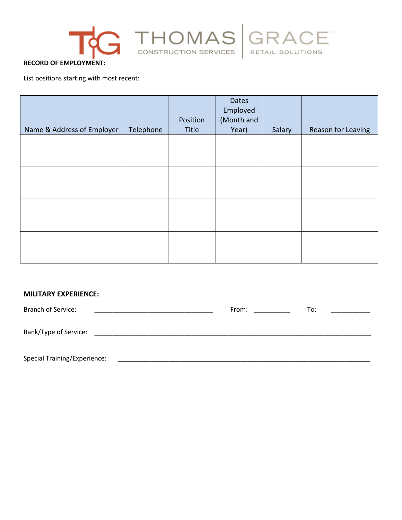





#### **RECORD OF EMPLOYMENT:**

List positions starting with most recent:

|                            |           | Position | Dates<br>Employed<br>(Month and |        |                    |
|----------------------------|-----------|----------|---------------------------------|--------|--------------------|
| Name & Address of Employer | Telephone | Title    | Year)                           | Salary | Reason for Leaving |
|                            |           |          |                                 |        |                    |
|                            |           |          |                                 |        |                    |
|                            |           |          |                                 |        |                    |
|                            |           |          |                                 |        |                    |
|                            |           |          |                                 |        |                    |
|                            |           |          |                                 |        |                    |
|                            |           |          |                                 |        |                    |
|                            |           |          |                                 |        |                    |
|                            |           |          |                                 |        |                    |
|                            |           |          |                                 |        |                    |
|                            |           |          |                                 |        |                    |
|                            |           |          |                                 |        |                    |

# **MILITARY EXPERIENCE:**

| <b>Branch of Service:</b>           | From: | To: |
|-------------------------------------|-------|-----|
| Rank/Type of Service:               |       |     |
| <b>Special Training/Experience:</b> |       |     |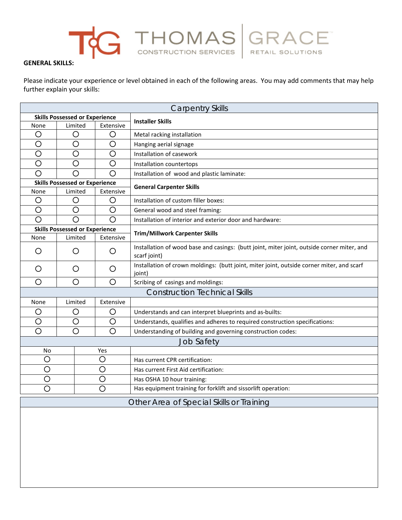# GENERAL SKILLS: CONSTRUCTION SERVICES RETAIL SOLUTIONS

Please indicate your experience or level obtained in each of the following areas. You may add comments that may help further explain your skills:

| <b>Carpentry Skills</b>                  |                                       |                                       |                                                                                                            |  |  |
|------------------------------------------|---------------------------------------|---------------------------------------|------------------------------------------------------------------------------------------------------------|--|--|
| <b>Skills Possessed or Experience</b>    |                                       |                                       | <b>Installer Skills</b>                                                                                    |  |  |
| None                                     | Limited                               | Extensive                             |                                                                                                            |  |  |
| O                                        | Ő                                     | O                                     | Metal racking installation                                                                                 |  |  |
| $\circ$                                  | $\bigcirc$                            | $\circ$                               | Hanging aerial signage                                                                                     |  |  |
| $\circ$                                  | O                                     | $\circ$                               | Installation of casework                                                                                   |  |  |
| $\circ$                                  | O                                     | O                                     | Installation countertops                                                                                   |  |  |
| O                                        | Ω                                     | $\bigcirc$                            | Installation of wood and plastic laminate:                                                                 |  |  |
|                                          | <b>Skills Possessed or Experience</b> |                                       | <b>General Carpenter Skills</b>                                                                            |  |  |
| None                                     | Limited                               | Extensive                             |                                                                                                            |  |  |
| O                                        | O                                     | O                                     | Installation of custom filler boxes:                                                                       |  |  |
| $\circ$                                  | O                                     | O                                     | General wood and steel framing:                                                                            |  |  |
| O                                        | O                                     | O                                     | Installation of interior and exterior door and hardware:                                                   |  |  |
|                                          |                                       | <b>Skills Possessed or Experience</b> |                                                                                                            |  |  |
| None                                     | Limited                               | Extensive                             | <b>Trim/Millwork Carpenter Skills</b>                                                                      |  |  |
| O                                        | O<br>O                                |                                       | Installation of wood base and casings: (butt joint, miter joint, outside corner miter, and<br>scarf joint) |  |  |
| O<br>O<br>O                              |                                       |                                       | Installation of crown moldings: (butt joint, miter joint, outside corner miter, and scarf<br>joint)        |  |  |
| $\circ$<br>O<br>O                        |                                       |                                       | Scribing of casings and moldings:                                                                          |  |  |
|                                          |                                       |                                       | <b>Construction Technical Skills</b>                                                                       |  |  |
| Limited<br>Extensive<br>None             |                                       |                                       |                                                                                                            |  |  |
| O                                        | O<br>O                                |                                       | Understands and can interpret blueprints and as-builts:                                                    |  |  |
| $\bigcirc$<br>$\bigcirc$                 |                                       | $\circ$                               | Understands, qualifies and adheres to required construction specifications:                                |  |  |
| $\overline{\rm O}$                       | $\overline{O}$<br>$\circ$             |                                       | Understanding of building and governing construction codes:                                                |  |  |
| <b>Job Safety</b>                        |                                       |                                       |                                                                                                            |  |  |
| Yes<br>No                                |                                       |                                       |                                                                                                            |  |  |
| O                                        |                                       | $\circ$                               | Has current CPR certification:                                                                             |  |  |
| $\circ$                                  |                                       | O                                     | Has current First Aid certification:                                                                       |  |  |
| Ō                                        |                                       | Ó                                     | Has OSHA 10 hour training:                                                                                 |  |  |
| O<br>O                                   |                                       |                                       | Has equipment training for forklift and sissorlift operation:                                              |  |  |
| Other Area of Special Skills or Training |                                       |                                       |                                                                                                            |  |  |